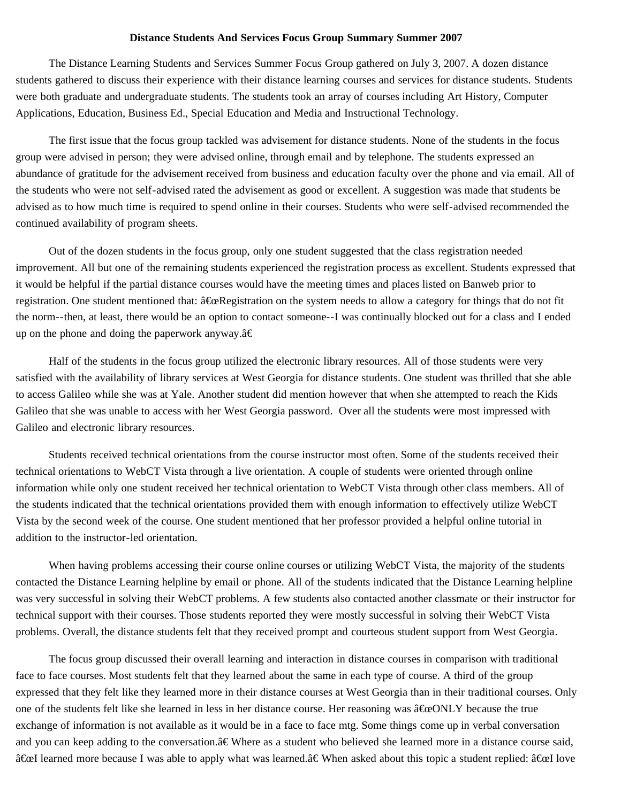## **Distance Students And Services Focus Group Summary Summer 2007**

The Distance Learning Students and Services Summer Focus Group gathered on July 3, 2007. A dozen distance students gathered to discuss their experience with their distance learning courses and services for distance students. Students were both graduate and undergraduate students. The students took an array of courses including Art History, Computer Applications, Education, Business Ed., Special Education and Media and Instructional Technology.

The first issue that the focus group tackled was advisement for distance students. None of the students in the focus group were advised in person; they were advised online, through email and by telephone. The students expressed an abundance of gratitude for the advisement received from business and education faculty over the phone and via email. All of the students who were not self-advised rated the advisement as good or excellent. A suggestion was made that students be advised as to how much time is required to spend online in their courses. Students who were self-advised recommended the continued availability of program sheets.

Out of the dozen students in the focus group, only one student suggested that the class registration needed improvement. All but one of the remaining students experienced the registration process as excellent. Students expressed that it would be helpful if the partial distance courses would have the meeting times and places listed on Banweb prior to registration. One student mentioned that:  $\hat{a} \hat{\boldsymbol{\epsilon}} \hat{\boldsymbol{\epsilon}}$  Registration on the system needs to allow a category for things that do not fit the norm--then, at least, there would be an option to contact someone--I was continually blocked out for a class and I ended up on the phone and doing the paperwork anyway. $\hat{a} \in$ 

Half of the students in the focus group utilized the electronic library resources. All of those students were very satisfied with the availability of library services at West Georgia for distance students. One student was thrilled that she able to access Galileo while she was at Yale. Another student did mention however that when she attempted to reach the Kids Galileo that she was unable to access with her West Georgia password. Over all the students were most impressed with Galileo and electronic library resources.

Students received technical orientations from the course instructor most often. Some of the students received their technical orientations to WebCT Vista through a live orientation. A couple of students were oriented through online information while only one student received her technical orientation to WebCT Vista through other class members. All of the students indicated that the technical orientations provided them with enough information to effectively utilize WebCT Vista by the second week of the course. One student mentioned that her professor provided a helpful online tutorial in addition to the instructor-led orientation.

When having problems accessing their course online courses or utilizing WebCT Vista, the majority of the students contacted the Distance Learning helpline by email or phone. All of the students indicated that the Distance Learning helpline was very successful in solving their WebCT problems. A few students also contacted another classmate or their instructor for technical support with their courses. Those students reported they were mostly successful in solving their WebCT Vista problems. Overall, the distance students felt that they received prompt and courteous student support from West Georgia.

The focus group discussed their overall learning and interaction in distance courses in comparison with traditional face to face courses. Most students felt that they learned about the same in each type of course. A third of the group expressed that they felt like they learned more in their distance courses at West Georgia than in their traditional courses. Only one of the students felt like she learned in less in her distance course. Her reasoning was  $\hat{a} \hat{\alpha}$ CONLY because the true exchange of information is not available as it would be in a face to face mtg. Some things come up in verbal conversation and you can keep adding to the conversation. $a \in \mathbb{W}$ here as a student who believed she learned more in a distance course said,  $\hat{a}$  Exel learned more because I was able to apply what was learned. $\hat{a} \in$  When asked about this topic a student replied:  $\hat{a} \in$  love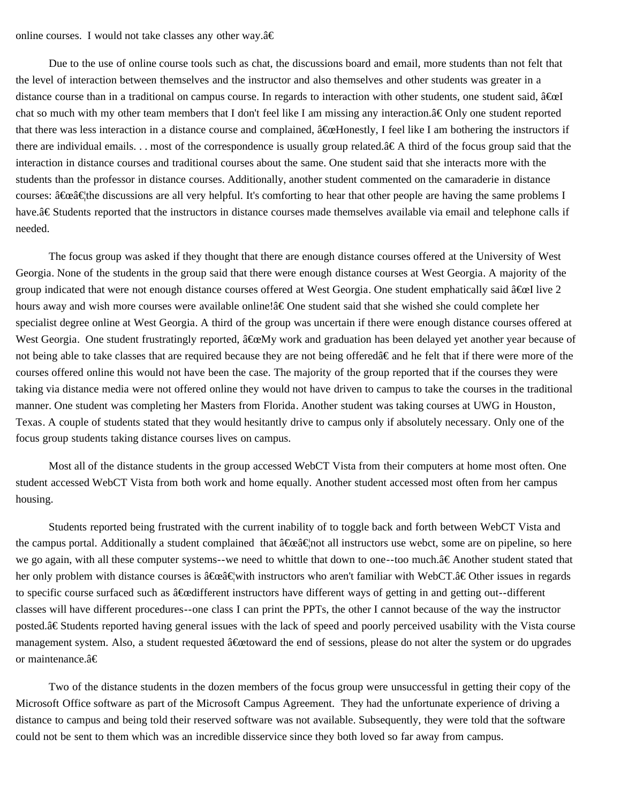## online courses. I would not take classes any other way. $\hat{a} \in$

Due to the use of online course tools such as chat, the discussions board and email, more students than not felt that the level of interaction between themselves and the instructor and also themselves and other students was greater in a distance course than in a traditional on campus course. In regards to interaction with other students, one student said,  $\hat{a} \in \mathbb{R}$ chat so much with my other team members that I don't feel like I am missing any interaction. $\hat{a} \in \text{Only one student reported}$ that there was less interaction in a distance course and complained,  $\hat{a} \in \mathbb{R}$  and  $I$  am bothering the instructors if there are individual emails. . . most of the correspondence is usually group related. $\hat{\mathbf{\alpha}} \in \mathbf{A}$  third of the focus group said that the interaction in distance courses and traditional courses about the same. One student said that she interacts more with the students than the professor in distance courses. Additionally, another student commented on the camaraderie in distance courses:  $\hat{a} \in \hat{c}$  as are all very helpful. It's comforting to hear that other people are having the same problems I have.â€Students reported that the instructors in distance courses made themselves available via email and telephone calls if needed.

The focus group was asked if they thought that there are enough distance courses offered at the University of West Georgia. None of the students in the group said that there were enough distance courses at West Georgia. A majority of the group indicated that were not enough distance courses offered at West Georgia. One student emphatically said  $\hat{a} \in \Omega$  live 2 hours away and wish more courses were available online!â€One student said that she wished she could complete her specialist degree online at West Georgia. A third of the group was uncertain if there were enough distance courses offered at West Georgia. One student frustratingly reported,  $\hat{a}$  ExeMy work and graduation has been delayed yet another year because of not being able to take classes that are required because they are not being offered $\hat{a} \in \hat{a}$  and he felt that if there were more of the courses offered online this would not have been the case. The majority of the group reported that if the courses they were taking via distance media were not offered online they would not have driven to campus to take the courses in the traditional manner. One student was completing her Masters from Florida. Another student was taking courses at UWG in Houston, Texas. A couple of students stated that they would hesitantly drive to campus only if absolutely necessary. Only one of the focus group students taking distance courses lives on campus.

Most all of the distance students in the group accessed WebCT Vista from their computers at home most often. One student accessed WebCT Vista from both work and home equally. Another student accessed most often from her campus housing.

Students reported being frustrated with the current inability of to toggle back and forth between WebCT Vista and the campus portal. Additionally a student complained that  $\hat{a} \times \hat{a} \times \hat{c}$  all instructors use webct, some are on pipeline, so here we go again, with all these computer systems--we need to whittle that down to one--too much. $\hat{a} \in$ Another student stated that her only problem with distance courses is  $\hat{a} \oplus \hat{c} \oplus \hat{c}$  with instructors who aren't familiar with WebCT. $\hat{a} \in \text{Other}$  issues in regards to specific course surfaced such as  $\hat{a}$  califferent instructors have different ways of getting in and getting out--different classes will have different procedures--one class I can print the PPTs, the other I cannot because of the way the instructor posted. $\hat{a} \in$ Students reported having general issues with the lack of speed and poorly perceived usability with the Vista course management system. Also, a student requested  $\hat{a}$  for a feature and of sessions, please do not alter the system or do upgrades or maintenance.â€

Two of the distance students in the dozen members of the focus group were unsuccessful in getting their copy of the Microsoft Office software as part of the Microsoft Campus Agreement. They had the unfortunate experience of driving a distance to campus and being told their reserved software was not available. Subsequently, they were told that the software could not be sent to them which was an incredible disservice since they both loved so far away from campus.